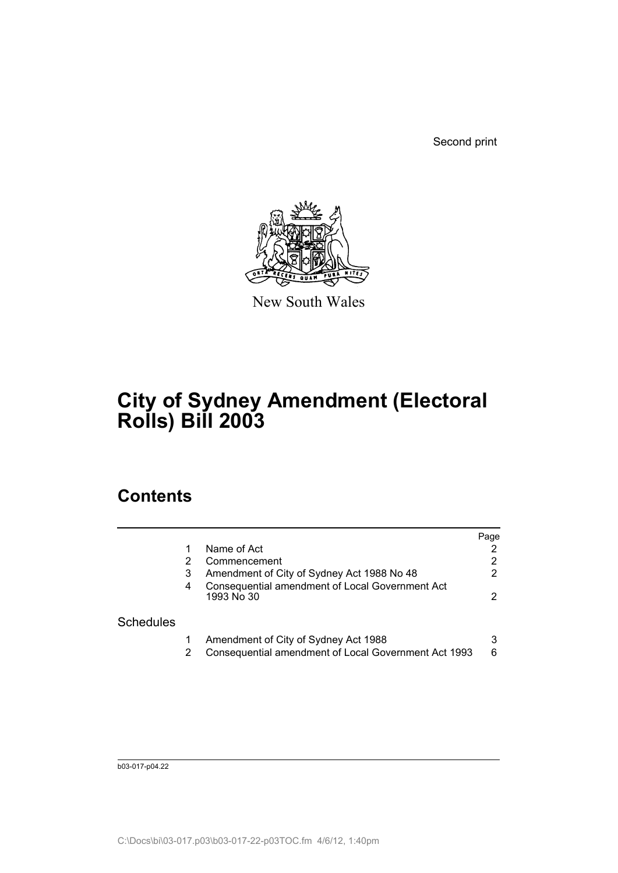Second print



New South Wales

# **City of Sydney Amendment (Electoral Rolls) Bill 2003**

### **Contents**

|                  |   |                                                      | Page |
|------------------|---|------------------------------------------------------|------|
|                  |   | Name of Act                                          |      |
|                  |   | Commencement                                         | 2    |
|                  | 3 | Amendment of City of Sydney Act 1988 No 48           | 2    |
|                  | 4 | Consequential amendment of Local Government Act      |      |
|                  |   | 1993 No 30                                           | 2    |
| <b>Schedules</b> |   |                                                      |      |
|                  |   | Amendment of City of Sydney Act 1988                 | 3    |
|                  |   | Consequential amendment of Local Government Act 1993 | 6    |

b03-017-p04.22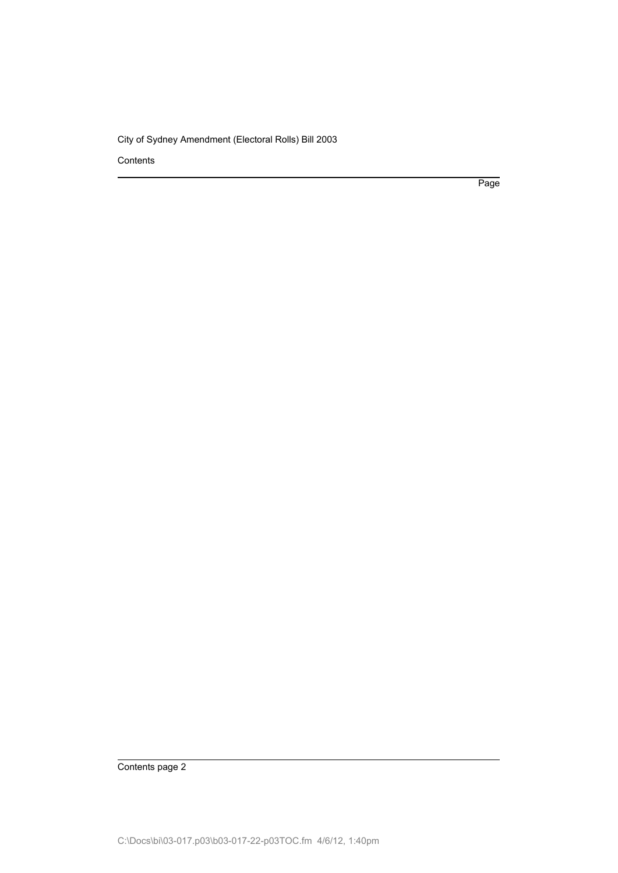Contents

Page

Contents page 2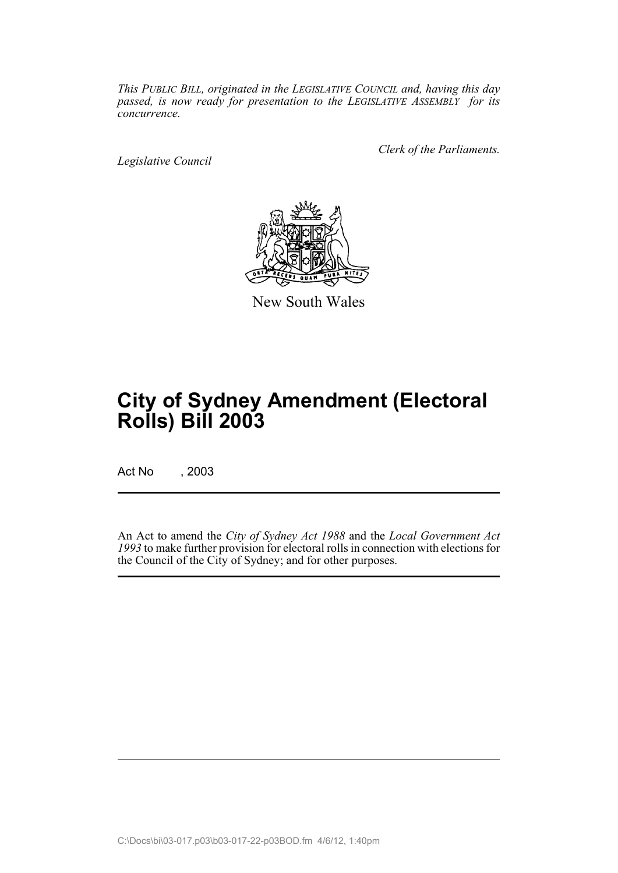*This PUBLIC BILL, originated in the LEGISLATIVE COUNCIL and, having this day passed, is now ready for presentation to the LEGISLATIVE ASSEMBLY for its concurrence.*

*Legislative Council*

*Clerk of the Parliaments.*



New South Wales

## **City of Sydney Amendment (Electoral Rolls) Bill 2003**

Act No , 2003

An Act to amend the *City of Sydney Act 1988* and the *Local Government Act 1993* to make further provision for electoral rolls in connection with elections for the Council of the City of Sydney; and for other purposes.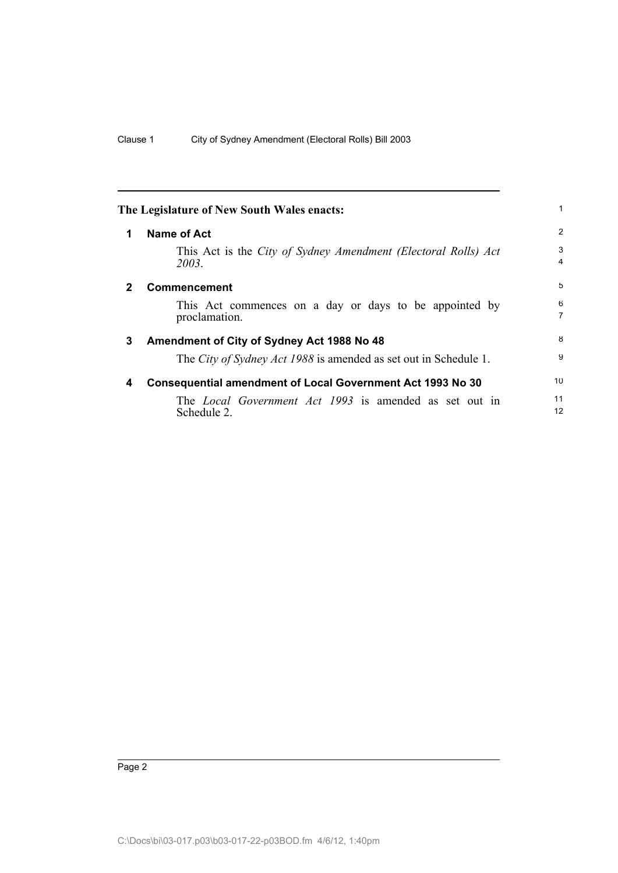<span id="page-3-3"></span><span id="page-3-2"></span><span id="page-3-1"></span><span id="page-3-0"></span>

|              | The Legislature of New South Wales enacts:                                   | 1                   |
|--------------|------------------------------------------------------------------------------|---------------------|
| 1            | <b>Name of Act</b>                                                           | $\overline{2}$      |
|              | This Act is the City of Sydney Amendment (Electoral Rolls) Act<br>2003.      | 3<br>$\overline{4}$ |
| $\mathbf{2}$ | <b>Commencement</b>                                                          | 5                   |
|              | This Act commences on a day or days to be appointed by<br>proclamation.      | 6<br>$\overline{7}$ |
| 3            | Amendment of City of Sydney Act 1988 No 48                                   | 8                   |
|              | The City of Sydney Act 1988 is amended as set out in Schedule 1.             | 9                   |
| 4            | <b>Consequential amendment of Local Government Act 1993 No 30</b>            | 10                  |
|              | The <i>Local Government Act 1993</i> is amended as set out in<br>Schedule 2. | 11<br>12            |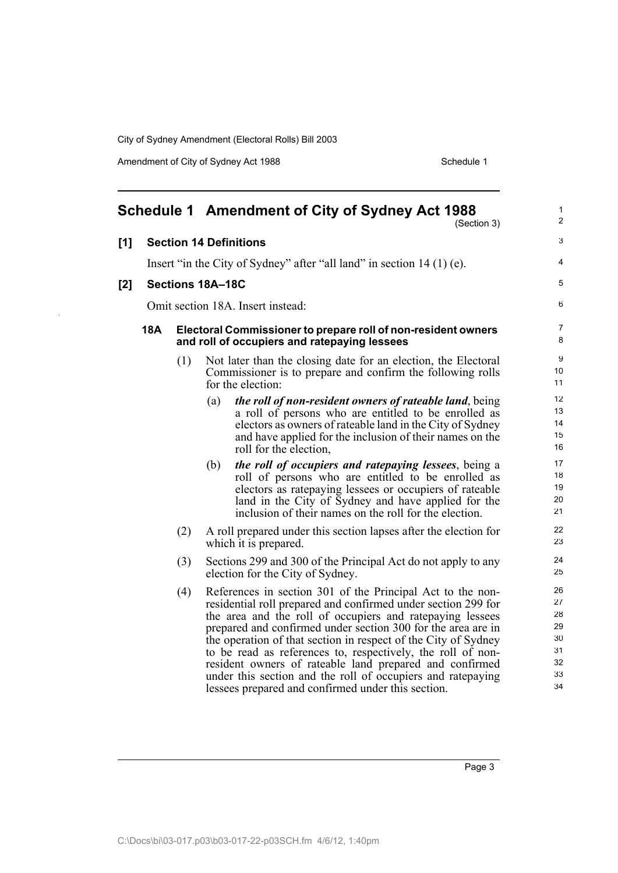Amendment of City of Sydney Act 1988 Schedule 1

<span id="page-4-0"></span>

|     |                                                                         |     | Schedule 1 Amendment of City of Sydney Act 1988<br>(Section 3)                                                                                                                                                                                                                                                                                                                                                                                                                                                                                                            | $\mathbf{1}$<br>$\overline{2}$                     |
|-----|-------------------------------------------------------------------------|-----|---------------------------------------------------------------------------------------------------------------------------------------------------------------------------------------------------------------------------------------------------------------------------------------------------------------------------------------------------------------------------------------------------------------------------------------------------------------------------------------------------------------------------------------------------------------------------|----------------------------------------------------|
| [1] |                                                                         |     | <b>Section 14 Definitions</b>                                                                                                                                                                                                                                                                                                                                                                                                                                                                                                                                             | 3                                                  |
|     | Insert "in the City of Sydney" after "all land" in section $14(1)(e)$ . |     |                                                                                                                                                                                                                                                                                                                                                                                                                                                                                                                                                                           |                                                    |
| [2] | Sections 18A-18C                                                        |     |                                                                                                                                                                                                                                                                                                                                                                                                                                                                                                                                                                           | 5                                                  |
|     |                                                                         |     | Omit section 18A. Insert instead:                                                                                                                                                                                                                                                                                                                                                                                                                                                                                                                                         | 6                                                  |
|     | <b>18A</b>                                                              |     | Electoral Commissioner to prepare roll of non-resident owners<br>and roll of occupiers and ratepaying lessees                                                                                                                                                                                                                                                                                                                                                                                                                                                             | 7<br>8                                             |
|     |                                                                         | (1) | Not later than the closing date for an election, the Electoral<br>Commissioner is to prepare and confirm the following rolls<br>for the election:                                                                                                                                                                                                                                                                                                                                                                                                                         | $\boldsymbol{9}$<br>10<br>11                       |
|     |                                                                         |     | (a)<br><i>the roll of non-resident owners of rateable land, being</i><br>a roll of persons who are entitled to be enrolled as<br>electors as owners of rateable land in the City of Sydney<br>and have applied for the inclusion of their names on the<br>roll for the election,                                                                                                                                                                                                                                                                                          | 12<br>13<br>14<br>15<br>16                         |
|     |                                                                         |     | <i>the roll of occupiers and ratepaying lessees, being a</i><br>(b)<br>roll of persons who are entitled to be enrolled as<br>electors as ratepaying lessees or occupiers of rateable<br>land in the City of Sydney and have applied for the<br>inclusion of their names on the roll for the election.                                                                                                                                                                                                                                                                     | 17<br>18<br>19<br>20<br>21                         |
|     |                                                                         | (2) | A roll prepared under this section lapses after the election for<br>which it is prepared.                                                                                                                                                                                                                                                                                                                                                                                                                                                                                 | 22<br>23                                           |
|     |                                                                         | (3) | Sections 299 and 300 of the Principal Act do not apply to any<br>election for the City of Sydney.                                                                                                                                                                                                                                                                                                                                                                                                                                                                         | 24<br>25                                           |
|     |                                                                         | (4) | References in section 301 of the Principal Act to the non-<br>residential roll prepared and confirmed under section 299 for<br>the area and the roll of occupiers and ratepaying lessees<br>prepared and confirmed under section 300 for the area are in<br>the operation of that section in respect of the City of Sydney<br>to be read as references to, respectively, the roll of non-<br>resident owners of rateable land prepared and confirmed<br>under this section and the roll of occupiers and ratepaying<br>lessees prepared and confirmed under this section. | 26<br>27<br>28<br>29<br>30<br>31<br>32<br>33<br>34 |

Page 3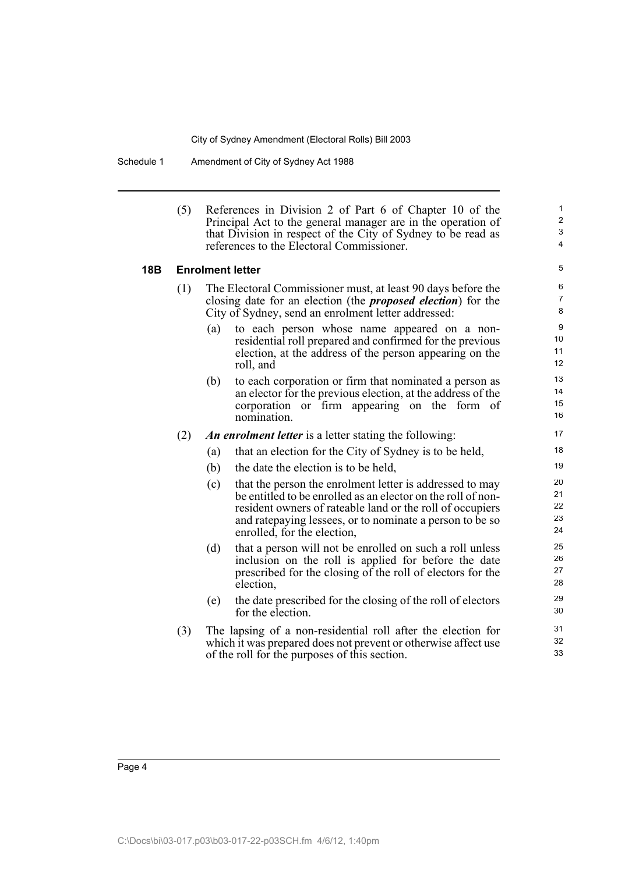Schedule 1 Amendment of City of Sydney Act 1988

(5) References in Division 2 of Part 6 of Chapter 10 of the Principal Act to the general manager are in the operation of that Division in respect of the City of Sydney to be read as references to the Electoral Commissioner.

#### **18B Enrolment letter**

- (1) The Electoral Commissioner must, at least 90 days before the closing date for an election (the *proposed election*) for the City of Sydney, send an enrolment letter addressed:
	- (a) to each person whose name appeared on a nonresidential roll prepared and confirmed for the previous election, at the address of the person appearing on the roll, and
	- (b) to each corporation or firm that nominated a person as an elector for the previous election, at the address of the corporation or firm appearing on the form of nomination.
- (2) *An enrolment letter* is a letter stating the following:
	- (a) that an election for the City of Sydney is to be held,
	- (b) the date the election is to be held,
	- (c) that the person the enrolment letter is addressed to may be entitled to be enrolled as an elector on the roll of nonresident owners of rateable land or the roll of occupiers and ratepaying lessees, or to nominate a person to be so enrolled, for the election,
	- (d) that a person will not be enrolled on such a roll unless inclusion on the roll is applied for before the date prescribed for the closing of the roll of electors for the election,
	- (e) the date prescribed for the closing of the roll of electors for the election.
- (3) The lapsing of a non-residential roll after the election for which it was prepared does not prevent or otherwise affect use of the roll for the purposes of this section.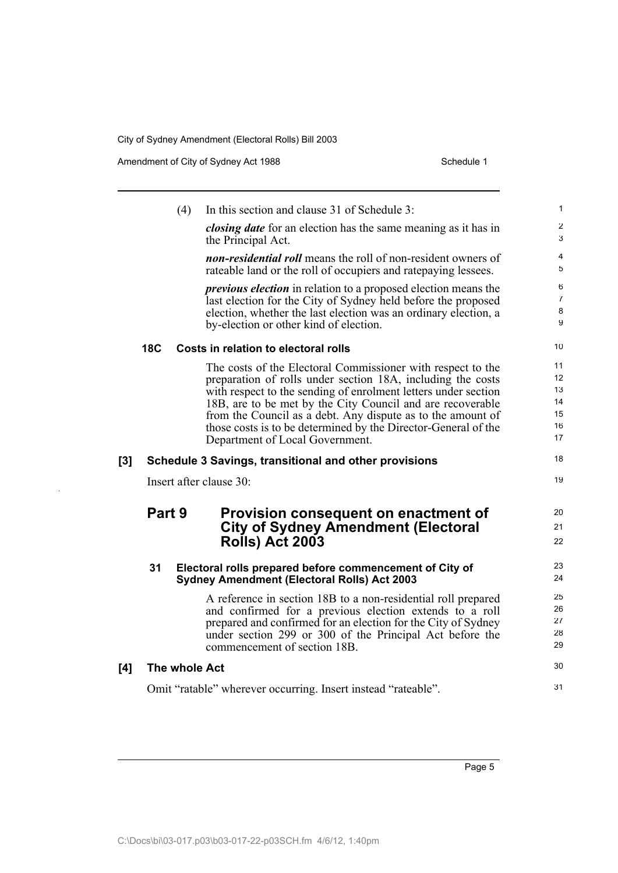| Amendment of City of Sydney Act 1988 |  |  |
|--------------------------------------|--|--|
|--------------------------------------|--|--|

 $\ddot{\phantom{a}}$ 

Schedule 1

|     |                                                       | (4)           | In this section and clause 31 of Schedule 3:                                                                                                                                                                                                                                                                                                                                                                                   | $\mathbf{1}$                           |
|-----|-------------------------------------------------------|---------------|--------------------------------------------------------------------------------------------------------------------------------------------------------------------------------------------------------------------------------------------------------------------------------------------------------------------------------------------------------------------------------------------------------------------------------|----------------------------------------|
|     |                                                       |               | <i>closing date</i> for an election has the same meaning as it has in<br>the Principal Act.                                                                                                                                                                                                                                                                                                                                    | $\overline{2}$<br>3                    |
|     |                                                       |               | non-residential roll means the roll of non-resident owners of<br>rateable land or the roll of occupiers and ratepaying lessees.                                                                                                                                                                                                                                                                                                | 4<br>5                                 |
|     |                                                       |               | <i>previous election</i> in relation to a proposed election means the<br>last election for the City of Sydney held before the proposed<br>election, whether the last election was an ordinary election, a<br>by-election or other kind of election.                                                                                                                                                                            | $\,6$<br>$\overline{7}$<br>8<br>9      |
|     | <b>18C</b>                                            |               | Costs in relation to electoral rolls                                                                                                                                                                                                                                                                                                                                                                                           | 10                                     |
|     |                                                       |               | The costs of the Electoral Commissioner with respect to the<br>preparation of rolls under section 18A, including the costs<br>with respect to the sending of enrolment letters under section<br>18B, are to be met by the City Council and are recoverable<br>from the Council as a debt. Any dispute as to the amount of<br>those costs is to be determined by the Director-General of the<br>Department of Local Government. | 11<br>12<br>13<br>14<br>15<br>16<br>17 |
| [3] | Schedule 3 Savings, transitional and other provisions |               |                                                                                                                                                                                                                                                                                                                                                                                                                                | 18                                     |
|     |                                                       |               | Insert after clause 30:                                                                                                                                                                                                                                                                                                                                                                                                        | 19                                     |
|     | Part 9                                                |               | Provision consequent on enactment of<br><b>City of Sydney Amendment (Electoral</b>                                                                                                                                                                                                                                                                                                                                             | 20<br>21                               |
|     |                                                       |               | <b>Rolls) Act 2003</b>                                                                                                                                                                                                                                                                                                                                                                                                         | 22                                     |
|     | 31                                                    |               | Electoral rolls prepared before commencement of City of<br><b>Sydney Amendment (Electoral Rolls) Act 2003</b>                                                                                                                                                                                                                                                                                                                  | 23<br>24                               |
|     |                                                       |               | A reference in section 18B to a non-residential roll prepared<br>and confirmed for a previous election extends to a roll<br>prepared and confirmed for an election for the City of Sydney<br>under section 299 or 300 of the Principal Act before the<br>commencement of section 18B.                                                                                                                                          | 25<br>26<br>27<br>28<br>29             |
| [4] |                                                       | The whole Act |                                                                                                                                                                                                                                                                                                                                                                                                                                | 30                                     |
|     |                                                       |               | Omit "ratable" wherever occurring. Insert instead "rateable".                                                                                                                                                                                                                                                                                                                                                                  | 31                                     |

Page 5